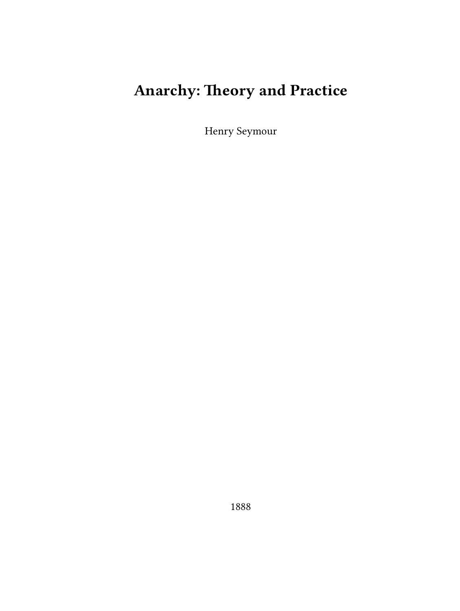# **Anarchy: Theory and Practice**

Henry Seymour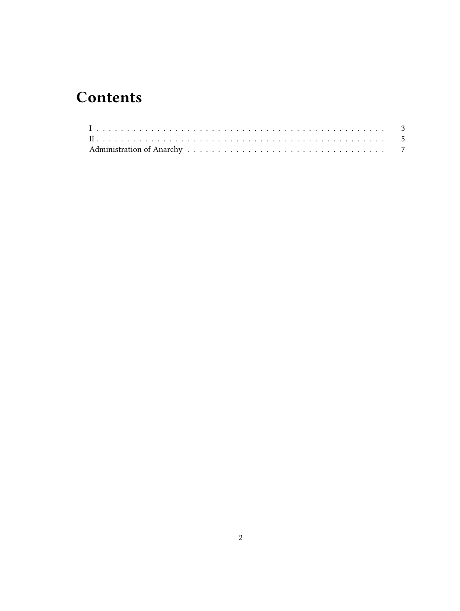# **Contents**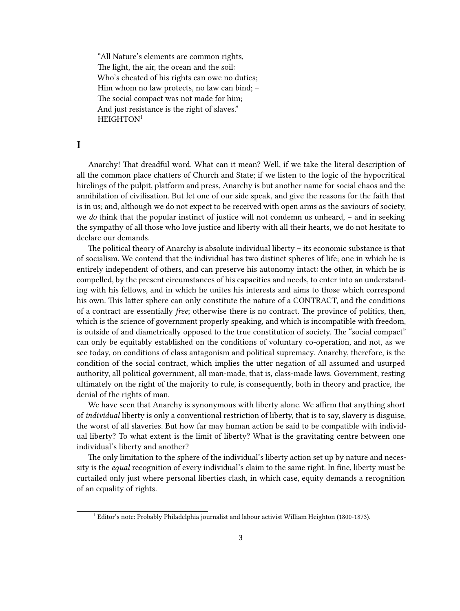"All Nature's elements are common rights, The light, the air, the ocean and the soil: Who's cheated of his rights can owe no duties; Him whom no law protects, no law can bind; – The social compact was not made for him; And just resistance is the right of slaves." HEIGHTON<sup>1</sup>

### <span id="page-2-0"></span>**I**

Anarchy! That dreadful word. What can it mean? Well, if we take the literal description of all the common place chatters of Church and State; if we listen to the logic of the hypocritical hirelings of the pulpit, platform and press, Anarchy is but another name for social chaos and the annihilation of civilisation. But let one of our side speak, and give the reasons for the faith that is in us; and, although we do not expect to be received with open arms as the saviours of society, we *do* think that the popular instinct of justice will not condemn us unheard, – and in seeking the sympathy of all those who love justice and liberty with all their hearts, we do not hesitate to declare our demands.

The political theory of Anarchy is absolute individual liberty – its economic substance is that of socialism. We contend that the individual has two distinct spheres of life; one in which he is entirely independent of others, and can preserve his autonomy intact: the other, in which he is compelled, by the present circumstances of his capacities and needs, to enter into an understanding with his fellows, and in which he unites his interests and aims to those which correspond his own. This latter sphere can only constitute the nature of a CONTRACT, and the conditions of a contract are essentially *free*; otherwise there is no contract. The province of politics, then, which is the science of government properly speaking, and which is incompatible with freedom, is outside of and diametrically opposed to the true constitution of society. The "social compact" can only be equitably established on the conditions of voluntary co-operation, and not, as we see today, on conditions of class antagonism and political supremacy. Anarchy, therefore, is the condition of the social contract, which implies the utter negation of all assumed and usurped authority, all political government, all man-made, that is, class-made laws. Government, resting ultimately on the right of the majority to rule, is consequently, both in theory and practice, the denial of the rights of man.

We have seen that Anarchy is synonymous with liberty alone. We affirm that anything short of *individual* liberty is only a conventional restriction of liberty, that is to say, slavery is disguise, the worst of all slaveries. But how far may human action be said to be compatible with individual liberty? To what extent is the limit of liberty? What is the gravitating centre between one individual's liberty and another?

The only limitation to the sphere of the individual's liberty action set up by nature and necessity is the *equal* recognition of every individual's claim to the same right. In fine, liberty must be curtailed only just where personal liberties clash, in which case, equity demands a recognition of an equality of rights.

<sup>&</sup>lt;sup>1</sup> Editor's note: Probably Philadelphia journalist and labour activist William Heighton (1800-1873).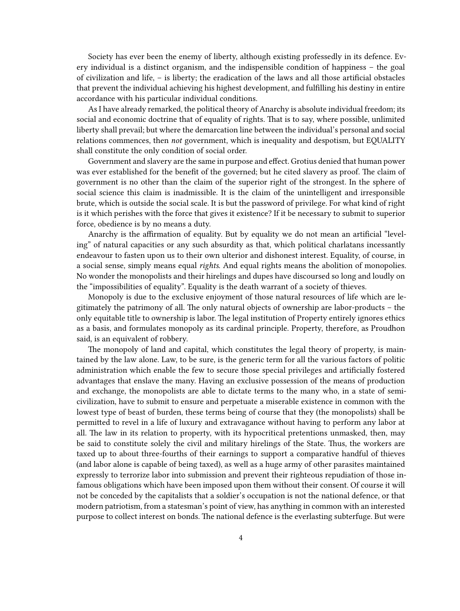Society has ever been the enemy of liberty, although existing professedly in its defence. Every individual is a distinct organism, and the indispensible condition of happiness – the goal of civilization and life, – is liberty; the eradication of the laws and all those artificial obstacles that prevent the individual achieving his highest development, and fulfilling his destiny in entire accordance with his particular individual conditions.

As I have already remarked, the political theory of Anarchy is absolute individual freedom; its social and economic doctrine that of equality of rights. That is to say, where possible, unlimited liberty shall prevail; but where the demarcation line between the individual's personal and social relations commences, then *not* government, which is inequality and despotism, but EQUALITY shall constitute the only condition of social order.

Government and slavery are the same in purpose and effect. Grotius denied that human power was ever established for the benefit of the governed; but he cited slavery as proof. The claim of government is no other than the claim of the superior right of the strongest. In the sphere of social science this claim is inadmissible. It is the claim of the unintelligent and irresponsible brute, which is outside the social scale. It is but the password of privilege. For what kind of right is it which perishes with the force that gives it existence? If it be necessary to submit to superior force, obedience is by no means a duty.

Anarchy is the affirmation of equality. But by equality we do not mean an artificial "leveling" of natural capacities or any such absurdity as that, which political charlatans incessantly endeavour to fasten upon us to their own ulterior and dishonest interest. Equality, of course, in a social sense, simply means equal *rights*. And equal rights means the abolition of monopolies. No wonder the monopolists and their hirelings and dupes have discoursed so long and loudly on the "impossibilities of equality". Equality is the death warrant of a society of thieves.

Monopoly is due to the exclusive enjoyment of those natural resources of life which are legitimately the patrimony of all. The only natural objects of ownership are labor-products – the only equitable title to ownership is labor. The legal institution of Property entirely ignores ethics as a basis, and formulates monopoly as its cardinal principle. Property, therefore, as Proudhon said, is an equivalent of robbery.

The monopoly of land and capital, which constitutes the legal theory of property, is maintained by the law alone. Law, to be sure, is the generic term for all the various factors of politic administration which enable the few to secure those special privileges and artificially fostered advantages that enslave the many. Having an exclusive possession of the means of production and exchange, the monopolists are able to dictate terms to the many who, in a state of semicivilization, have to submit to ensure and perpetuate a miserable existence in common with the lowest type of beast of burden, these terms being of course that they (the monopolists) shall be permitted to revel in a life of luxury and extravagance without having to perform any labor at all. The law in its relation to property, with its hypocritical pretentions unmasked, then, may be said to constitute solely the civil and military hirelings of the State. Thus, the workers are taxed up to about three-fourths of their earnings to support a comparative handful of thieves (and labor alone is capable of being taxed), as well as a huge army of other parasites maintained expressly to terrorize labor into submission and prevent their righteous repudiation of those infamous obligations which have been imposed upon them without their consent. Of course it will not be conceded by the capitalists that a soldier's occupation is not the national defence, or that modern patriotism, from a statesman's point of view, has anything in common with an interested purpose to collect interest on bonds. The national defence is the everlasting subterfuge. But were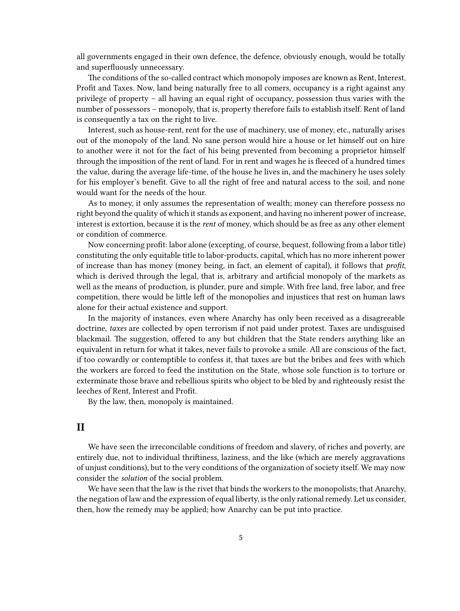all governments engaged in their own defence, the defence, obviously enough, would be totally and superfluously unnecessary.

The conditions of the so-called contract which monopoly imposes are known as Rent, Interest, Profit and Taxes. Now, land being naturally free to all comers, occupancy is a right against any privilege of property – all having an equal right of occupancy, possession thus varies with the number of possessors – monopoly, that is, property therefore fails to establish itself. Rent of land is consequently a tax on the right to live.

Interest, such as house-rent, rent for the use of machinery, use of money, etc., naturally arises out of the monopoly of the land. No sane person would hire a house or let himself out on hire to another were it not for the fact of his being prevented from becoming a proprietor himself through the imposition of the rent of land. For in rent and wages he is fleeced of a hundred times the value, during the average life-time, of the house he lives in, and the machinery he uses solely for his employer's benefit. Give to all the right of free and natural access to the soil, and none would want for the needs of the hour.

As to money, it only assumes the representation of wealth; money can therefore possess no right beyond the quality of which it stands as exponent, and having no inherent power of increase, interest is extortion, because it is the *rent* of money, which should be as free as any other element or condition of commerce.

Now concerning profit: labor alone (excepting, of course, bequest, following from a labor title) constituting the only equitable title to labor-products, capital, which has no more inherent power of increase than has money (money being, in fact, an element of capital), it follows that *profit*, which is derived through the legal, that is, arbitrary and artificial monopoly of the markets as well as the means of production, is plunder, pure and simple. With free land, free labor, and free competition, there would be little left of the monopolies and injustices that rest on human laws alone for their actual existence and support.

In the majority of instances, even where Anarchy has only been received as a disagreeable doctrine, *taxes* are collected by open terrorism if not paid under protest. Taxes are undisguised blackmail. The suggestion, offered to any but children that the State renders anything like an equivalent in return for what it takes, never fails to provoke a smile. All are conscious of the fact, if too cowardly or contemptible to confess it, that taxes are but the bribes and fees with which the workers are forced to feed the institution on the State, whose sole function is to torture or exterminate those brave and rebellious spirits who object to be bled by and righteously resist the leeches of Rent, Interest and Profit.

By the law, then, monopoly is maintained.

#### <span id="page-4-0"></span>**II**

We have seen the irreconcilable conditions of freedom and slavery, of riches and poverty, are entirely due, not to individual thriftiness, laziness, and the like (which are merely aggravations of unjust conditions), but to the very conditions of the organization of society itself. We may now consider the *solution* of the social problem.

We have seen that the law is the rivet that binds the workers to the monopolists; that Anarchy, the negation of law and the expression of equal liberty, is the only rational remedy. Let us consider, then, how the remedy may be applied; how Anarchy can be put into practice.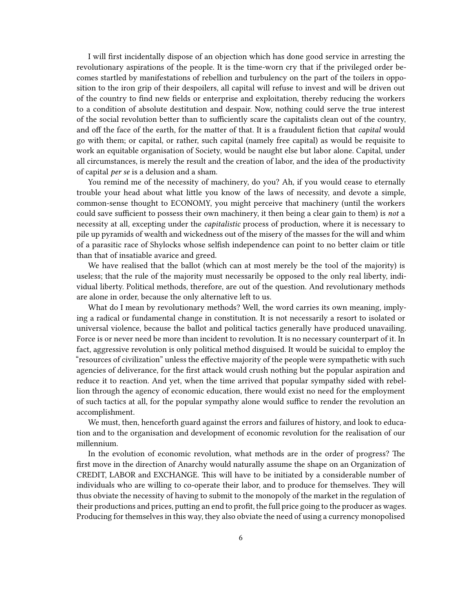I will first incidentally dispose of an objection which has done good service in arresting the revolutionary aspirations of the people. It is the time-worn cry that if the privileged order becomes startled by manifestations of rebellion and turbulency on the part of the toilers in opposition to the iron grip of their despoilers, all capital will refuse to invest and will be driven out of the country to find new fields or enterprise and exploitation, thereby reducing the workers to a condition of absolute destitution and despair. Now, nothing could serve the true interest of the social revolution better than to sufficiently scare the capitalists clean out of the country, and off the face of the earth, for the matter of that. It is a fraudulent fiction that *capital* would go with them; or capital, or rather, such capital (namely free capital) as would be requisite to work an equitable organisation of Society, would be naught else but labor alone. Capital, under all circumstances, is merely the result and the creation of labor, and the idea of the productivity of capital *per se* is a delusion and a sham.

You remind me of the necessity of machinery, do you? Ah, if you would cease to eternally trouble your head about what little you know of the laws of necessity, and devote a simple, common-sense thought to ECONOMY, you might perceive that machinery (until the workers could save sufficient to possess their own machinery, it then being a clear gain to them) is *not* a necessity at all, excepting under the *capitalistic* process of production, where it is necessary to pile up pyramids of wealth and wickedness out of the misery of the masses for the will and whim of a parasitic race of Shylocks whose selfish independence can point to no better claim or title than that of insatiable avarice and greed.

We have realised that the ballot (which can at most merely be the tool of the majority) is useless; that the rule of the majority must necessarily be opposed to the only real liberty, individual liberty. Political methods, therefore, are out of the question. And revolutionary methods are alone in order, because the only alternative left to us.

What do I mean by revolutionary methods? Well, the word carries its own meaning, implying a radical or fundamental change in constitution. It is not necessarily a resort to isolated or universal violence, because the ballot and political tactics generally have produced unavailing. Force is or never need be more than incident to revolution. It is no necessary counterpart of it. In fact, aggressive revolution is only political method disguised. It would be suicidal to employ the "resources of civilization" unless the effective majority of the people were sympathetic with such agencies of deliverance, for the first attack would crush nothing but the popular aspiration and reduce it to reaction. And yet, when the time arrived that popular sympathy sided with rebellion through the agency of economic education, there would exist no need for the employment of such tactics at all, for the popular sympathy alone would suffice to render the revolution an accomplishment.

We must, then, henceforth guard against the errors and failures of history, and look to education and to the organisation and development of economic revolution for the realisation of our millennium.

In the evolution of economic revolution, what methods are in the order of progress? The first move in the direction of Anarchy would naturally assume the shape on an Organization of CREDIT, LABOR and EXCHANGE. This will have to be initiated by a considerable number of individuals who are willing to co-operate their labor, and to produce for themselves. They will thus obviate the necessity of having to submit to the monopoly of the market in the regulation of their productions and prices, putting an end to profit, the full price going to the producer as wages. Producing for themselves in this way, they also obviate the need of using a currency monopolised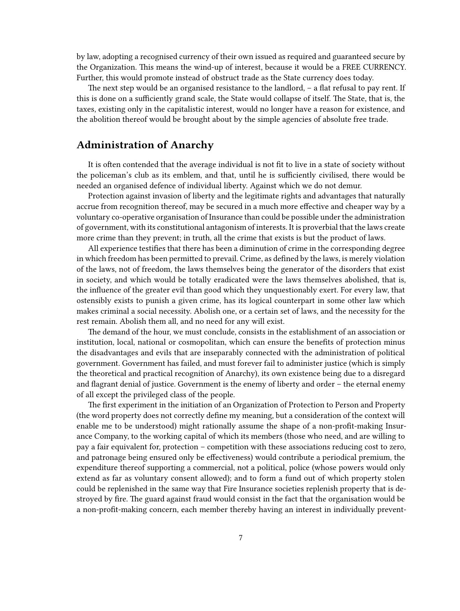by law, adopting a recognised currency of their own issued as required and guaranteed secure by the Organization. This means the wind-up of interest, because it would be a FREE CURRENCY. Further, this would promote instead of obstruct trade as the State currency does today.

The next step would be an organised resistance to the landlord, – a flat refusal to pay rent. If this is done on a sufficiently grand scale, the State would collapse of itself. The State, that is, the taxes, existing only in the capitalistic interest, would no longer have a reason for existence, and the abolition thereof would be brought about by the simple agencies of absolute free trade.

# <span id="page-6-0"></span>**Administration of Anarchy**

It is often contended that the average individual is not fit to live in a state of society without the policeman's club as its emblem, and that, until he is sufficiently civilised, there would be needed an organised defence of individual liberty. Against which we do not demur.

Protection against invasion of liberty and the legitimate rights and advantages that naturally accrue from recognition thereof, may be secured in a much more effective and cheaper way by a voluntary co-operative organisation of Insurance than could be possible under the administration of government, with its constitutional antagonism of interests. It is proverbial that the laws create more crime than they prevent; in truth, all the crime that exists is but the product of laws.

All experience testifies that there has been a diminution of crime in the corresponding degree in which freedom has been permitted to prevail. Crime, as defined by the laws, is merely violation of the laws, not of freedom, the laws themselves being the generator of the disorders that exist in society, and which would be totally eradicated were the laws themselves abolished, that is, the influence of the greater evil than good which they unquestionably exert. For every law, that ostensibly exists to punish a given crime, has its logical counterpart in some other law which makes criminal a social necessity. Abolish one, or a certain set of laws, and the necessity for the rest remain. Abolish them all, and no need for any will exist.

The demand of the hour, we must conclude, consists in the establishment of an association or institution, local, national or cosmopolitan, which can ensure the benefits of protection minus the disadvantages and evils that are inseparably connected with the administration of political government. Government has failed, and must forever fail to administer justice (which is simply the theoretical and practical recognition of Anarchy), its own existence being due to a disregard and flagrant denial of justice. Government is the enemy of liberty and order – the eternal enemy of all except the privileged class of the people.

The first experiment in the initiation of an Organization of Protection to Person and Property (the word property does not correctly define my meaning, but a consideration of the context will enable me to be understood) might rationally assume the shape of a non-profit-making Insurance Company, to the working capital of which its members (those who need, and are willing to pay a fair equivalent for, protection – competition with these associations reducing cost to zero, and patronage being ensured only be effectiveness) would contribute a periodical premium, the expenditure thereof supporting a commercial, not a political, police (whose powers would only extend as far as voluntary consent allowed); and to form a fund out of which property stolen could be replenished in the same way that Fire Insurance societies replenish property that is destroyed by fire. The guard against fraud would consist in the fact that the organisation would be a non-profit-making concern, each member thereby having an interest in individually prevent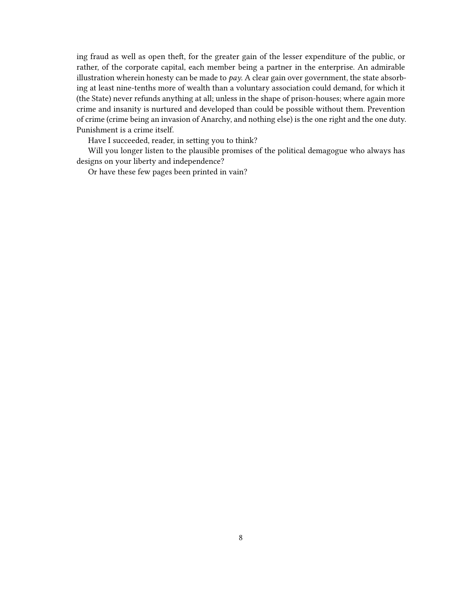ing fraud as well as open theft, for the greater gain of the lesser expenditure of the public, or rather, of the corporate capital, each member being a partner in the enterprise. An admirable illustration wherein honesty can be made to *pay*. A clear gain over government, the state absorbing at least nine-tenths more of wealth than a voluntary association could demand, for which it (the State) never refunds anything at all; unless in the shape of prison-houses; where again more crime and insanity is nurtured and developed than could be possible without them. Prevention of crime (crime being an invasion of Anarchy, and nothing else) is the one right and the one duty. Punishment is a crime itself.

Have I succeeded, reader, in setting you to think?

Will you longer listen to the plausible promises of the political demagogue who always has designs on your liberty and independence?

Or have these few pages been printed in vain?